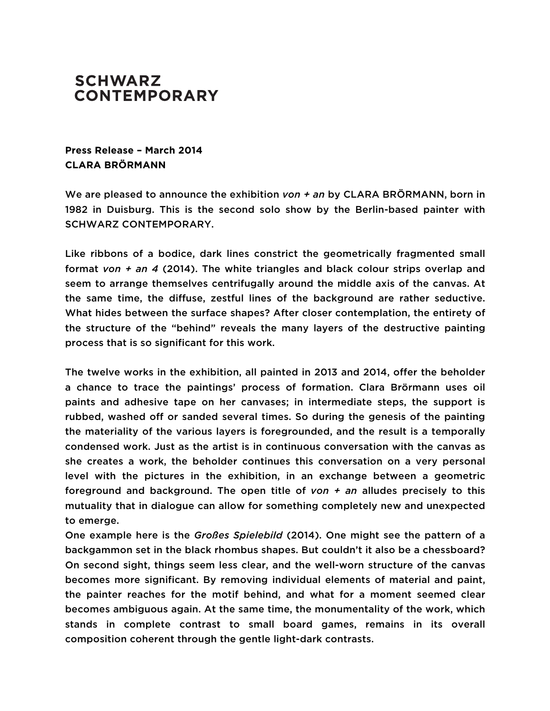## **SCHWARZ CONTEMPORARY**

## **Press Release – March 2014 CLARA BRÖRMANN**

We are pleased to announce the exhibition *von + an* by CLARA BRÖRMANN, born in 1982 in Duisburg. This is the second solo show by the Berlin-based painter with SCHWARZ CONTEMPORARY.

Like ribbons of a bodice, dark lines constrict the geometrically fragmented small format *von + an 4* (2014). The white triangles and black colour strips overlap and seem to arrange themselves centrifugally around the middle axis of the canvas. At the same time, the diffuse, zestful lines of the background are rather seductive. What hides between the surface shapes? After closer contemplation, the entirety of the structure of the "behind" reveals the many layers of the destructive painting process that is so significant for this work.

The twelve works in the exhibition, all painted in 2013 and 2014, offer the beholder a chance to trace the paintings' process of formation. Clara Brörmann uses oil paints and adhesive tape on her canvases; in intermediate steps, the support is rubbed, washed off or sanded several times. So during the genesis of the painting the materiality of the various layers is foregrounded, and the result is a temporally condensed work. Just as the artist is in continuous conversation with the canvas as she creates a work, the beholder continues this conversation on a very personal level with the pictures in the exhibition, in an exchange between a geometric foreground and background. The open title of *von + an* alludes precisely to this mutuality that in dialogue can allow for something completely new and unexpected to emerge.

One example here is the *Großes Spielebild* (2014). One might see the pattern of a backgammon set in the black rhombus shapes. But couldn't it also be a chessboard? On second sight, things seem less clear, and the well-worn structure of the canvas becomes more significant. By removing individual elements of material and paint, the painter reaches for the motif behind, and what for a moment seemed clear becomes ambiguous again. At the same time, the monumentality of the work, which stands in complete contrast to small board games, remains in its overall composition coherent through the gentle light-dark contrasts.